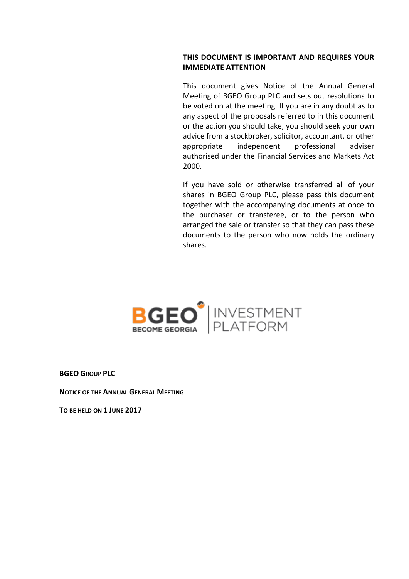# **THIS DOCUMENT IS IMPORTANT AND REQUIRES YOUR IMMEDIATE ATTENTION**

This document gives Notice of the Annual General Meeting of BGEO Group PLC and sets out resolutions to be voted on at the meeting. If you are in any doubt as to any aspect of the proposals referred to in this document or the action you should take, you should seek your own advice from a stockbroker, solicitor, accountant, or other appropriate independent professional adviser authorised under the Financial Services and Markets Act 2000.

If you have sold or otherwise transferred all of your shares in BGEO Group PLC, please pass this document together with the accompanying documents at once to the purchaser or transferee, or to the person who arranged the sale or transfer so that they can pass these documents to the person who now holds the ordinary shares.



**BGEO GROUP PLC**

**NOTICE OF THE ANNUAL GENERAL MEETING** 

**TO BE HELD ON 1 JUNE 2017**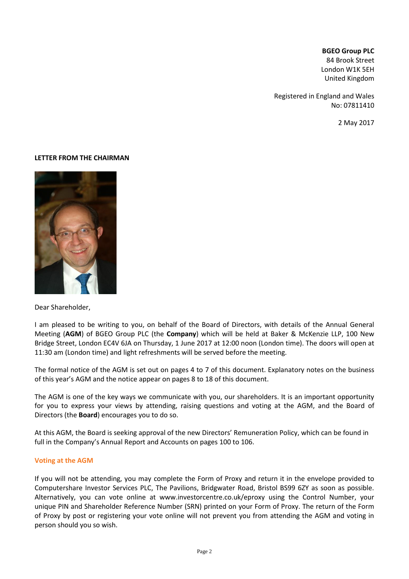## **BGEO Group PLC**

84 Brook Street London W1K 5EH United Kingdom

Registered in England and Wales No: 07811410

2 May 2017

#### **LETTER FROM THE CHAIRMAN**



Dear Shareholder,

I am pleased to be writing to you, on behalf of the Board of Directors, with details of the Annual General Meeting (**AGM**) of BGEO Group PLC (the **Company**) which will be held at Baker & McKenzie LLP, 100 New Bridge Street, London EC4V 6JA on Thursday, 1 June 2017 at 12:00 noon (London time). The doors will open at 11:30 am (London time) and light refreshments will be served before the meeting.

The formal notice of the AGM is set out on pages 4 to 7 of this document. Explanatory notes on the business of this year's AGM and the notice appear on pages 8 to 18 of this document.

The AGM is one of the key ways we communicate with you, our shareholders. It is an important opportunity for you to express your views by attending, raising questions and voting at the AGM, and the Board of Directors (the **Board**) encourages you to do so.

At this AGM, the Board is seeking approval of the new Directors' Remuneration Policy, which can be found in full in the Company's Annual Report and Accounts on pages 100 to 106.

#### **Voting at the AGM**

If you will not be attending, you may complete the Form of Proxy and return it in the envelope provided to Computershare Investor Services PLC, The Pavilions, Bridgwater Road, Bristol BS99 6ZY as soon as possible. Alternatively, you can vote online at www.investorcentre.co.uk/eproxy using the Control Number, your unique PIN and Shareholder Reference Number (SRN) printed on your Form of Proxy. The return of the Form of Proxy by post or registering your vote online will not prevent you from attending the AGM and voting in person should you so wish.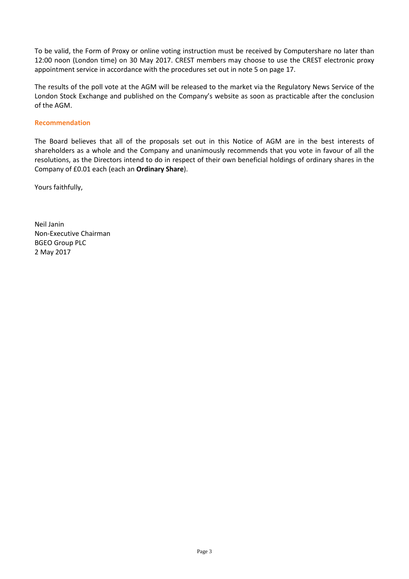To be valid, the Form of Proxy or online voting instruction must be received by Computershare no later than 12:00 noon (London time) on 30 May 2017. CREST members may choose to use the CREST electronic proxy appointment service in accordance with the procedures set out in note 5 on page 17.

The results of the poll vote at the AGM will be released to the market via the Regulatory News Service of the London Stock Exchange and published on the Company's website as soon as practicable after the conclusion of the AGM.

#### **Recommendation**

The Board believes that all of the proposals set out in this Notice of AGM are in the best interests of shareholders as a whole and the Company and unanimously recommends that you vote in favour of all the resolutions, as the Directors intend to do in respect of their own beneficial holdings of ordinary shares in the Company of £0.01 each (each an **Ordinary Share**).

Yours faithfully,

Neil Janin Non-Executive Chairman BGEO Group PLC 2 May 2017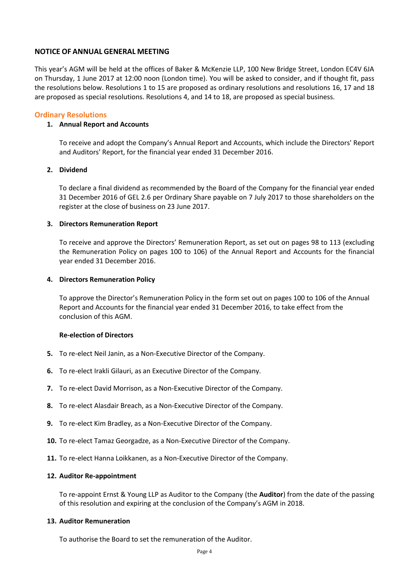## **NOTICE OF ANNUAL GENERAL MEETING**

This year's AGM will be held at the offices of Baker & McKenzie LLP, 100 New Bridge Street, London EC4V 6JA on Thursday, 1 June 2017 at 12:00 noon (London time). You will be asked to consider, and if thought fit, pass the resolutions below. Resolutions 1 to 15 are proposed as ordinary resolutions and resolutions 16, 17 and 18 are proposed as special resolutions. Resolutions 4, and 14 to 18, are proposed as special business.

# **Ordinary Resolutions**

## **1. Annual Report and Accounts**

To receive and adopt the Company's Annual Report and Accounts, which include the Directors' Report and Auditors' Report, for the financial year ended 31 December 2016.

## **2. Dividend**

To declare a final dividend as recommended by the Board of the Company for the financial year ended 31 December 2016 of GEL 2.6 per Ordinary Share payable on 7 July 2017 to those shareholders on the register at the close of business on 23 June 2017.

## **3. Directors Remuneration Report**

To receive and approve the Directors' Remuneration Report, as set out on pages 98 to 113 (excluding the Remuneration Policy on pages 100 to 106) of the Annual Report and Accounts for the financial year ended 31 December 2016.

## **4. Directors Remuneration Policy**

To approve the Director's Remuneration Policy in the form set out on pages 100 to 106 of the Annual Report and Accounts for the financial year ended 31 December 2016, to take effect from the conclusion of this AGM.

## **Re-election of Directors**

- **5.** To re-elect Neil Janin, as a Non-Executive Director of the Company.
- **6.** To re-elect Irakli Gilauri, as an Executive Director of the Company.
- **7.** To re-elect David Morrison, as a Non-Executive Director of the Company.
- **8.** To re-elect Alasdair Breach, as a Non-Executive Director of the Company.
- **9.** To re-elect Kim Bradley, as a Non-Executive Director of the Company.
- **10.** To re-elect Tamaz Georgadze, as a Non-Executive Director of the Company.
- **11.** To re-elect Hanna Loikkanen, as a Non-Executive Director of the Company.

## **12. Auditor Re-appointment**

To re-appoint Ernst & Young LLP as Auditor to the Company (the **Auditor**) from the date of the passing of this resolution and expiring at the conclusion of the Company's AGM in 2018.

## **13. Auditor Remuneration**

To authorise the Board to set the remuneration of the Auditor.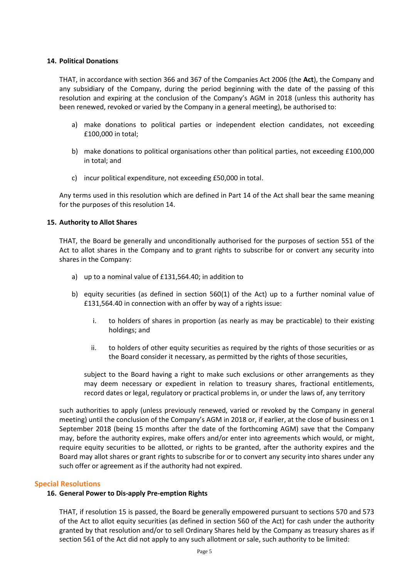## **14. Political Donations**

THAT, in accordance with section 366 and 367 of the Companies Act 2006 (the **Act**), the Company and any subsidiary of the Company, during the period beginning with the date of the passing of this resolution and expiring at the conclusion of the Company's AGM in 2018 (unless this authority has been renewed, revoked or varied by the Company in a general meeting), be authorised to:

- a) make donations to political parties or independent election candidates, not exceeding £100,000 in total;
- b) make donations to political organisations other than political parties, not exceeding £100,000 in total; and
- c) incur political expenditure, not exceeding £50,000 in total.

Any terms used in this resolution which are defined in Part 14 of the Act shall bear the same meaning for the purposes of this resolution 14.

#### **15. Authority to Allot Shares**

THAT, the Board be generally and unconditionally authorised for the purposes of section 551 of the Act to allot shares in the Company and to grant rights to subscribe for or convert any security into shares in the Company:

- a) up to a nominal value of £131,564.40; in addition to
- b) equity securities (as defined in section 560(1) of the Act) up to a further nominal value of £131,564.40 in connection with an offer by way of a rights issue:
	- i. to holders of shares in proportion (as nearly as may be practicable) to their existing holdings; and
	- ii. to holders of other equity securities as required by the rights of those securities or as the Board consider it necessary, as permitted by the rights of those securities,

subject to the Board having a right to make such exclusions or other arrangements as they may deem necessary or expedient in relation to treasury shares, fractional entitlements, record dates or legal, regulatory or practical problems in, or under the laws of, any territory

such authorities to apply (unless previously renewed, varied or revoked by the Company in general meeting) until the conclusion of the Company's AGM in 2018 or, if earlier, at the close of business on 1 September 2018 (being 15 months after the date of the forthcoming AGM) save that the Company may, before the authority expires, make offers and/or enter into agreements which would, or might, require equity securities to be allotted, or rights to be granted, after the authority expires and the Board may allot shares or grant rights to subscribe for or to convert any security into shares under any such offer or agreement as if the authority had not expired.

#### **Special Resolutions**

## **16. General Power to Dis-apply Pre-emption Rights**

THAT, if resolution 15 is passed, the Board be generally empowered pursuant to sections 570 and 573 of the Act to allot equity securities (as defined in section 560 of the Act) for cash under the authority granted by that resolution and/or to sell Ordinary Shares held by the Company as treasury shares as if section 561 of the Act did not apply to any such allotment or sale, such authority to be limited: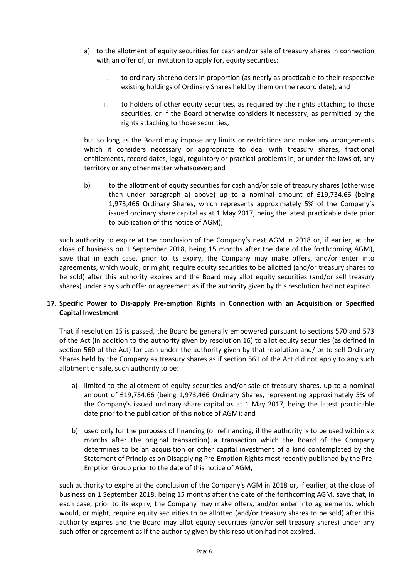- a) to the allotment of equity securities for cash and/or sale of treasury shares in connection with an offer of, or invitation to apply for, equity securities:
	- i. to ordinary shareholders in proportion (as nearly as practicable to their respective existing holdings of Ordinary Shares held by them on the record date); and
	- ii. to holders of other equity securities, as required by the rights attaching to those securities, or if the Board otherwise considers it necessary, as permitted by the rights attaching to those securities,

but so long as the Board may impose any limits or restrictions and make any arrangements which it considers necessary or appropriate to deal with treasury shares, fractional entitlements, record dates, legal, regulatory or practical problems in, or under the laws of, any territory or any other matter whatsoever; and

b) to the allotment of equity securities for cash and/or sale of treasury shares (otherwise than under paragraph a) above) up to a nominal amount of £19,734.66 (being 1,973,466 Ordinary Shares, which represents approximately 5% of the Company's issued ordinary share capital as at 1 May 2017, being the latest practicable date prior to publication of this notice of AGM),

such authority to expire at the conclusion of the Company's next AGM in 2018 or, if earlier, at the close of business on 1 September 2018, being 15 months after the date of the forthcoming AGM), save that in each case, prior to its expiry, the Company may make offers, and/or enter into agreements, which would, or might, require equity securities to be allotted (and/or treasury shares to be sold) after this authority expires and the Board may allot equity securities (and/or sell treasury shares) under any such offer or agreement as if the authority given by this resolution had not expired.

# **17. Specific Power to Dis-apply Pre-emption Rights in Connection with an Acquisition or Specified Capital Investment**

That if resolution 15 is passed, the Board be generally empowered pursuant to sections 570 and 573 of the Act (in addition to the authority given by resolution 16) to allot equity securities (as defined in section 560 of the Act) for cash under the authority given by that resolution and/ or to sell Ordinary Shares held by the Company as treasury shares as if section 561 of the Act did not apply to any such allotment or sale, such authority to be:

- a) limited to the allotment of equity securities and/or sale of treasury shares, up to a nominal amount of £19,734.66 (being 1,973,466 Ordinary Shares, representing approximately 5% of the Company's issued ordinary share capital as at 1 May 2017, being the latest practicable date prior to the publication of this notice of AGM); and
- b) used only for the purposes of financing (or refinancing, if the authority is to be used within six months after the original transaction) a transaction which the Board of the Company determines to be an acquisition or other capital investment of a kind contemplated by the Statement of Principles on Disapplying Pre-Emption Rights most recently published by the Pre-Emption Group prior to the date of this notice of AGM,

such authority to expire at the conclusion of the Company's AGM in 2018 or, if earlier, at the close of business on 1 September 2018, being 15 months after the date of the forthcoming AGM, save that, in each case, prior to its expiry, the Company may make offers, and/or enter into agreements, which would, or might, require equity securities to be allotted (and/or treasury shares to be sold) after this authority expires and the Board may allot equity securities (and/or sell treasury shares) under any such offer or agreement as if the authority given by this resolution had not expired.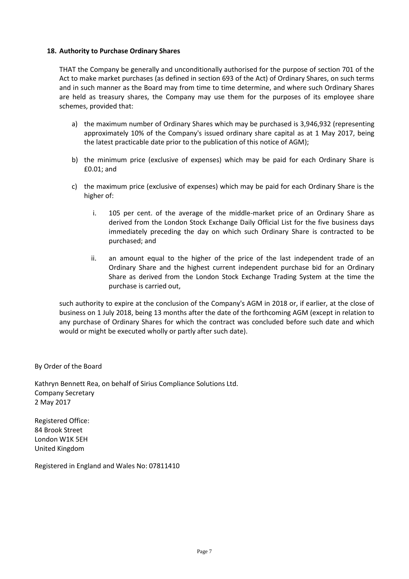## **18. Authority to Purchase Ordinary Shares**

THAT the Company be generally and unconditionally authorised for the purpose of section 701 of the Act to make market purchases (as defined in section 693 of the Act) of Ordinary Shares, on such terms and in such manner as the Board may from time to time determine, and where such Ordinary Shares are held as treasury shares, the Company may use them for the purposes of its employee share schemes, provided that:

- a) the maximum number of Ordinary Shares which may be purchased is 3,946,932 (representing approximately 10% of the Company's issued ordinary share capital as at 1 May 2017, being the latest practicable date prior to the publication of this notice of AGM);
- b) the minimum price (exclusive of expenses) which may be paid for each Ordinary Share is £0.01; and
- c) the maximum price (exclusive of expenses) which may be paid for each Ordinary Share is the higher of:
	- i. 105 per cent. of the average of the middle-market price of an Ordinary Share as derived from the London Stock Exchange Daily Official List for the five business days immediately preceding the day on which such Ordinary Share is contracted to be purchased; and
	- ii. an amount equal to the higher of the price of the last independent trade of an Ordinary Share and the highest current independent purchase bid for an Ordinary Share as derived from the London Stock Exchange Trading System at the time the purchase is carried out,

such authority to expire at the conclusion of the Company's AGM in 2018 or, if earlier, at the close of business on 1 July 2018, being 13 months after the date of the forthcoming AGM (except in relation to any purchase of Ordinary Shares for which the contract was concluded before such date and which would or might be executed wholly or partly after such date).

By Order of the Board

Kathryn Bennett Rea, on behalf of Sirius Compliance Solutions Ltd. Company Secretary 2 May 2017

Registered Office: 84 Brook Street London W1K 5EH United Kingdom

Registered in England and Wales No: 07811410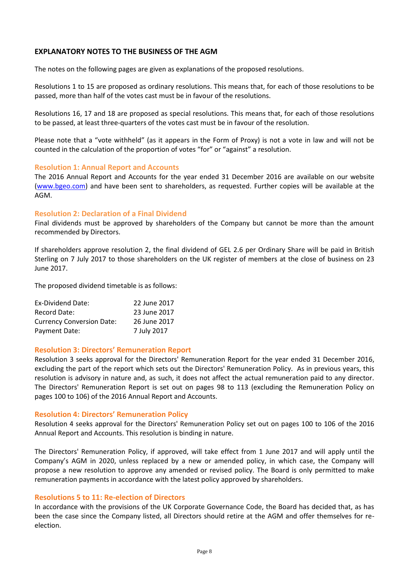# **EXPLANATORY NOTES TO THE BUSINESS OF THE AGM**

The notes on the following pages are given as explanations of the proposed resolutions.

Resolutions 1 to 15 are proposed as ordinary resolutions. This means that, for each of those resolutions to be passed, more than half of the votes cast must be in favour of the resolutions.

Resolutions 16, 17 and 18 are proposed as special resolutions. This means that, for each of those resolutions to be passed, at least three-quarters of the votes cast must be in favour of the resolution.

Please note that a "vote withheld" (as it appears in the Form of Proxy) is not a vote in law and will not be counted in the calculation of the proportion of votes "for" or "against" a resolution.

# **Resolution 1: Annual Report and Accounts**

The 2016 Annual Report and Accounts for the year ended 31 December 2016 are available on our website [\(www.bgeo.com\)](http://www.bgeo.com/) and have been sent to shareholders, as requested. Further copies will be available at the AGM.

# **Resolution 2: Declaration of a Final Dividend**

Final dividends must be approved by shareholders of the Company but cannot be more than the amount recommended by Directors.

If shareholders approve resolution 2, the final dividend of GEL 2.6 per Ordinary Share will be paid in British Sterling on 7 July 2017 to those shareholders on the UK register of members at the close of business on 23 June 2017.

The proposed dividend timetable is as follows:

| Ex-Dividend Date:                | 22 June 2017 |
|----------------------------------|--------------|
| <b>Record Date:</b>              | 23 June 2017 |
| <b>Currency Conversion Date:</b> | 26 June 2017 |
| Payment Date:                    | 7 July 2017  |

## **Resolution 3: Directors' Remuneration Report**

Resolution 3 seeks approval for the Directors' Remuneration Report for the year ended 31 December 2016, excluding the part of the report which sets out the Directors' Remuneration Policy. As in previous years, this resolution is advisory in nature and, as such, it does not affect the actual remuneration paid to any director. The Directors' Remuneration Report is set out on pages 98 to 113 (excluding the Remuneration Policy on pages 100 to 106) of the 2016 Annual Report and Accounts.

## **Resolution 4: Directors' Remuneration Policy**

Resolution 4 seeks approval for the Directors' Remuneration Policy set out on pages 100 to 106 of the 2016 Annual Report and Accounts. This resolution is binding in nature.

The Directors' Remuneration Policy, if approved, will take effect from 1 June 2017 and will apply until the Company's AGM in 2020, unless replaced by a new or amended policy, in which case, the Company will propose a new resolution to approve any amended or revised policy. The Board is only permitted to make remuneration payments in accordance with the latest policy approved by shareholders.

## **Resolutions 5 to 11: Re-election of Directors**

In accordance with the provisions of the UK Corporate Governance Code, the Board has decided that, as has been the case since the Company listed, all Directors should retire at the AGM and offer themselves for reelection.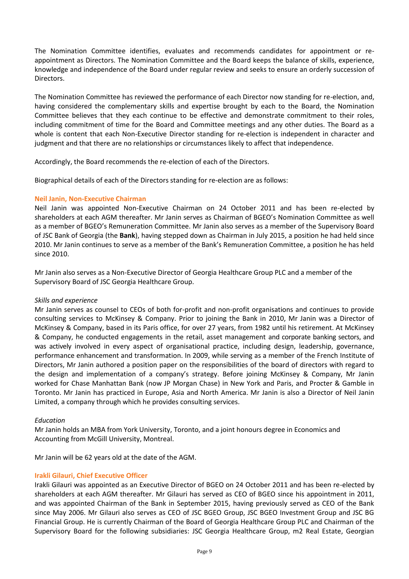The Nomination Committee identifies, evaluates and recommends candidates for appointment or reappointment as Directors. The Nomination Committee and the Board keeps the balance of skills, experience, knowledge and independence of the Board under regular review and seeks to ensure an orderly succession of Directors.

The Nomination Committee has reviewed the performance of each Director now standing for re-election, and, having considered the complementary skills and expertise brought by each to the Board, the Nomination Committee believes that they each continue to be effective and demonstrate commitment to their roles, including commitment of time for the Board and Committee meetings and any other duties. The Board as a whole is content that each Non-Executive Director standing for re-election is independent in character and judgment and that there are no relationships or circumstances likely to affect that independence.

Accordingly, the Board recommends the re-election of each of the Directors.

Biographical details of each of the Directors standing for re-election are as follows:

# **Neil Janin, Non-Executive Chairman**

Neil Janin was appointed Non-Executive Chairman on 24 October 2011 and has been re-elected by shareholders at each AGM thereafter. Mr Janin serves as Chairman of BGEO's Nomination Committee as well as a member of BGEO's Remuneration Committee. Mr Janin also serves as a member of the Supervisory Board of JSC Bank of Georgia (the **Bank**), having stepped down as Chairman in July 2015, a position he had held since 2010. Mr Janin continues to serve as a member of the Bank's Remuneration Committee, a position he has held since 2010.

Mr Janin also serves as a Non-Executive Director of Georgia Healthcare Group PLC and a member of the Supervisory Board of JSC Georgia Healthcare Group.

## *Skills and experience*

Mr Janin serves as counsel to CEOs of both for-profit and non-profit organisations and continues to provide consulting services to McKinsey & Company. Prior to joining the Bank in 2010, Mr Janin was a Director of McKinsey & Company, based in its Paris office, for over 27 years, from 1982 until his retirement. At McKinsey & Company, he conducted engagements in the retail, asset management and corporate banking sectors, and was actively involved in every aspect of organisational practice, including design, leadership, governance, performance enhancement and transformation. In 2009, while serving as a member of the French Institute of Directors, Mr Janin authored a position paper on the responsibilities of the board of directors with regard to the design and implementation of a company's strategy. Before joining McKinsey & Company, Mr Janin worked for Chase Manhattan Bank (now JP Morgan Chase) in New York and Paris, and Procter & Gamble in Toronto. Mr Janin has practiced in Europe, Asia and North America. Mr Janin is also a Director of Neil Janin Limited, a company through which he provides consulting services.

## *Education*

Mr Janin holds an MBA from York University, Toronto, and a joint honours degree in Economics and Accounting from McGill University, Montreal.

Mr Janin will be 62 years old at the date of the AGM.

## **Irakli Gilauri, Chief Executive Officer**

Irakli Gilauri was appointed as an Executive Director of BGEO on 24 October 2011 and has been re-elected by shareholders at each AGM thereafter. Mr Gilauri has served as CEO of BGEO since his appointment in 2011, and was appointed Chairman of the Bank in September 2015, having previously served as CEO of the Bank since May 2006. Mr Gilauri also serves as CEO of JSC BGEO Group, JSC BGEO Investment Group and JSC BG Financial Group. He is currently Chairman of the Board of Georgia Healthcare Group PLC and Chairman of the Supervisory Board for the following subsidiaries: JSC Georgia Healthcare Group, m2 Real Estate, Georgian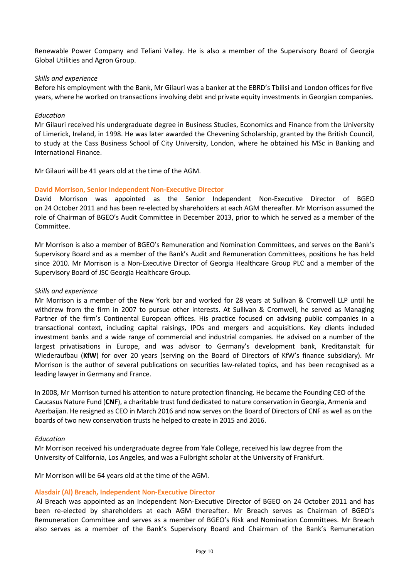Renewable Power Company and Teliani Valley. He is also a member of the Supervisory Board of Georgia Global Utilities and Agron Group.

## *Skills and experience*

Before his employment with the Bank, Mr Gilauri was a banker at the EBRD's Tbilisi and London offices for five years, where he worked on transactions involving debt and private equity investments in Georgian companies.

#### *Education*

Mr Gilauri received his undergraduate degree in Business Studies, Economics and Finance from the University of Limerick, Ireland, in 1998. He was later awarded the Chevening Scholarship, granted by the British Council, to study at the Cass Business School of City University, London, where he obtained his MSc in Banking and International Finance.

Mr Gilauri will be 41 years old at the time of the AGM.

#### **David Morrison, Senior Independent Non-Executive Director**

David Morrison was appointed as the Senior Independent Non-Executive Director of BGEO on 24 October 2011 and has been re-elected by shareholders at each AGM thereafter. Mr Morrison assumed the role of Chairman of BGEO's Audit Committee in December 2013, prior to which he served as a member of the Committee.

Mr Morrison is also a member of BGEO's Remuneration and Nomination Committees, and serves on the Bank's Supervisory Board and as a member of the Bank's Audit and Remuneration Committees, positions he has held since 2010. Mr Morrison is a Non-Executive Director of Georgia Healthcare Group PLC and a member of the Supervisory Board of JSC Georgia Healthcare Group.

#### *Skills and experience*

Mr Morrison is a member of the New York bar and worked for 28 years at Sullivan & Cromwell LLP until he withdrew from the firm in 2007 to pursue other interests. At Sullivan & Cromwell, he served as Managing Partner of the firm's Continental European offices. His practice focused on advising public companies in a transactional context, including capital raisings, IPOs and mergers and acquisitions. Key clients included investment banks and a wide range of commercial and industrial companies. He advised on a number of the largest privatisations in Europe, and was advisor to Germany's development bank, Kreditanstalt für Wiederaufbau (**KfW**) for over 20 years (serving on the Board of Directors of KfW's finance subsidiary). Mr Morrison is the author of several publications on securities law-related topics, and has been recognised as a leading lawyer in Germany and France.

In 2008, Mr Morrison turned his attention to nature protection financing. He became the Founding CEO of the Caucasus Nature Fund (**CNF**), a charitable trust fund dedicated to nature conservation in Georgia, Armenia and Azerbaijan. He resigned as CEO in March 2016 and now serves on the Board of Directors of CNF as well as on the boards of two new conservation trusts he helped to create in 2015 and 2016.

#### *Education*

Mr Morrison received his undergraduate degree from Yale College, received his law degree from the University of California, Los Angeles, and was a Fulbright scholar at the University of Frankfurt.

Mr Morrison will be 64 years old at the time of the AGM.

## **Alasdair (Al) Breach, Independent Non-Executive Director**

Al Breach was appointed as an Independent Non-Executive Director of BGEO on 24 October 2011 and has been re-elected by shareholders at each AGM thereafter. Mr Breach serves as Chairman of BGEO's Remuneration Committee and serves as a member of BGEO's Risk and Nomination Committees. Mr Breach also serves as a member of the Bank's Supervisory Board and Chairman of the Bank's Remuneration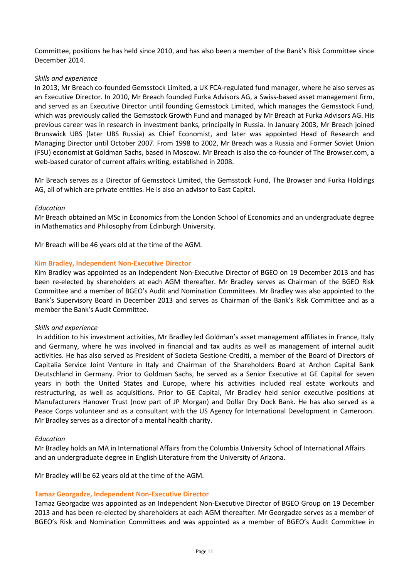Committee, positions he has held since 2010, and has also been a member of the Bank's Risk Committee since December 2014.

## *Skills and experience*

In 2013, Mr Breach co-founded Gemsstock Limited, a UK FCA-regulated fund manager, where he also serves as an Executive Director. In 2010, Mr Breach founded Furka Advisors AG, a Swiss-based asset management firm, and served as an Executive Director until founding Gemsstock Limited, which manages the Gemsstock Fund, which was previously called the Gemsstock Growth Fund and managed by Mr Breach at Furka Advisors AG. His previous career was in research in investment banks, principally in Russia. In January 2003, Mr Breach joined Brunswick UBS (later UBS Russia) as Chief Economist, and later was appointed Head of Research and Managing Director until October 2007. From 1998 to 2002, Mr Breach was a Russia and Former Soviet Union (FSU) economist at Goldman Sachs, based in Moscow. Mr Breach is also the co-founder of The Browser.com, a web-based curator of current affairs writing, established in 2008.

Mr Breach serves as a Director of Gemsstock Limited, the Gemsstock Fund, The Browser and Furka Holdings AG, all of which are private entities. He is also an advisor to East Capital.

# *Education*

Mr Breach obtained an MSc in Economics from the London School of Economics and an undergraduate degree in Mathematics and Philosophy from Edinburgh University.

Mr Breach will be 46 years old at the time of the AGM.

# **Kim Bradley, Independent Non-Executive Director**

Kim Bradley was appointed as an Independent Non-Executive Director of BGEO on 19 December 2013 and has been re-elected by shareholders at each AGM thereafter. Mr Bradley serves as Chairman of the BGEO Risk Committee and a member of BGEO's Audit and Nomination Committees. Mr Bradley was also appointed to the Bank's Supervisory Board in December 2013 and serves as Chairman of the Bank's Risk Committee and as a member the Bank's Audit Committee.

## *Skills and experience*

In addition to his investment activities, Mr Bradley led Goldman's asset management affiliates in France, Italy and Germany, where he was involved in financial and tax audits as well as management of internal audit activities. He has also served as President of Societa Gestione Crediti, a member of the Board of Directors of Capitalia Service Joint Venture in Italy and Chairman of the Shareholders Board at Archon Capital Bank Deutschland in Germany. Prior to Goldman Sachs, he served as a Senior Executive at GE Capital for seven years in both the United States and Europe, where his activities included real estate workouts and restructuring, as well as acquisitions. Prior to GE Capital, Mr Bradley held senior executive positions at Manufacturers Hanover Trust (now part of JP Morgan) and Dollar Dry Dock Bank. He has also served as a Peace Corps volunteer and as a consultant with the US Agency for International Development in Cameroon. Mr Bradley serves as a director of a mental health charity.

## *Education*

Mr Bradley holds an MA in International Affairs from the Columbia University School of International Affairs and an undergraduate degree in English Literature from the University of Arizona.

Mr Bradley will be 62 years old at the time of the AGM.

# **Tamaz Georgadze, Independent Non-Executive Director**

Tamaz Georgadze was appointed as an Independent Non-Executive Director of BGEO Group on 19 December 2013 and has been re-elected by shareholders at each AGM thereafter. Mr Georgadze serves as a member of BGEO's Risk and Nomination Committees and was appointed as a member of BGEO's Audit Committee in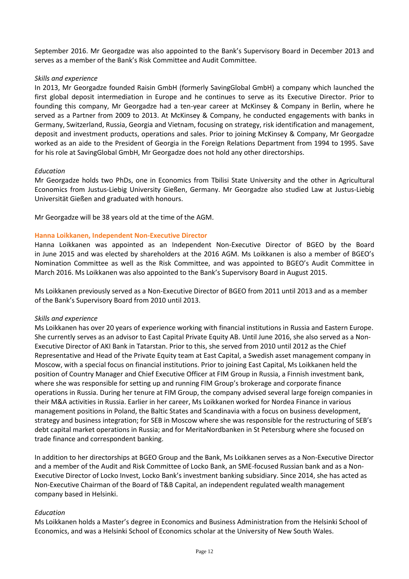September 2016. Mr Georgadze was also appointed to the Bank's Supervisory Board in December 2013 and serves as a member of the Bank's Risk Committee and Audit Committee.

## *Skills and experience*

In 2013, Mr Georgadze founded Raisin GmbH (formerly SavingGlobal GmbH) a company which launched the first global deposit intermediation in Europe and he continues to serve as its Executive Director. Prior to founding this company, Mr Georgadze had a ten-year career at McKinsey & Company in Berlin, where he served as a Partner from 2009 to 2013. At McKinsey & Company, he conducted engagements with banks in Germany, Switzerland, Russia, Georgia and Vietnam, focusing on strategy, risk identification and management, deposit and investment products, operations and sales. Prior to joining McKinsey & Company, Mr Georgadze worked as an aide to the President of Georgia in the Foreign Relations Department from 1994 to 1995. Save for his role at SavingGlobal GmbH, Mr Georgadze does not hold any other directorships.

# *Education*

Mr Georgadze holds two PhDs, one in Economics from Tbilisi State University and the other in Agricultural Economics from Justus-Liebig University Gießen, Germany. Mr Georgadze also studied Law at Justus-Liebig Universität Gießen and graduated with honours.

Mr Georgadze will be 38 years old at the time of the AGM.

# **Hanna Loikkanen, Independent Non-Executive Director**

Hanna Loikkanen was appointed as an Independent Non-Executive Director of BGEO by the Board in June 2015 and was elected by shareholders at the 2016 AGM. Ms Loikkanen is also a member of BGEO's Nomination Committee as well as the Risk Committee, and was appointed to BGEO's Audit Committee in March 2016. Ms Loikkanen was also appointed to the Bank's Supervisory Board in August 2015.

Ms Loikkanen previously served as a Non-Executive Director of BGEO from 2011 until 2013 and as a member of the Bank's Supervisory Board from 2010 until 2013.

## *Skills and experience*

Ms Loikkanen has over 20 years of experience working with financial institutions in Russia and Eastern Europe. She currently serves as an advisor to East Capital Private Equity AB. Until June 2016, she also served as a Non-Executive Director of AKI Bank in Tatarstan. Prior to this, she served from 2010 until 2012 as the Chief Representative and Head of the Private Equity team at East Capital, a Swedish asset management company in Moscow, with a special focus on financial institutions. Prior to joining East Capital, Ms Loikkanen held the position of Country Manager and Chief Executive Officer at FIM Group in Russia, a Finnish investment bank, where she was responsible for setting up and running FIM Group's brokerage and corporate finance operations in Russia. During her tenure at FIM Group, the company advised several large foreign companies in their M&A activities in Russia. Earlier in her career, Ms Loikkanen worked for Nordea Finance in various management positions in Poland, the Baltic States and Scandinavia with a focus on business development, strategy and business integration; for SEB in Moscow where she was responsible for the restructuring of SEB's debt capital market operations in Russia; and for MeritaNordbanken in St Petersburg where she focused on trade finance and correspondent banking.

In addition to her directorships at BGEO Group and the Bank, Ms Loikkanen serves as a Non-Executive Director and a member of the Audit and Risk Committee of Locko Bank, an SME-focused Russian bank and as a Non-Executive Director of Locko Invest, Locko Bank's investment banking subsidiary. Since 2014, she has acted as Non-Executive Chairman of the Board of T&B Capital, an independent regulated wealth management company based in Helsinki.

## *Education*

Ms Loikkanen holds a Master's degree in Economics and Business Administration from the Helsinki School of Economics, and was a Helsinki School of Economics scholar at the University of New South Wales.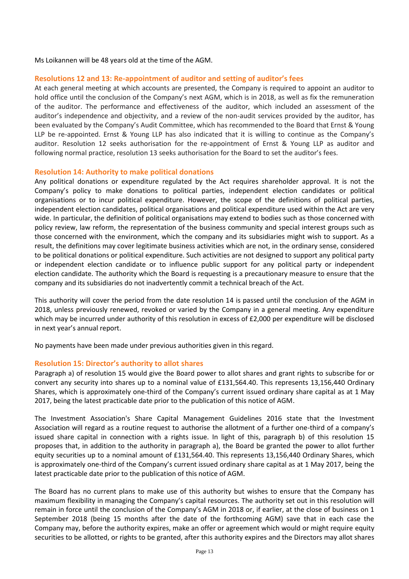Ms Loikannen will be 48 years old at the time of the AGM.

## **Resolutions 12 and 13: Re-appointment of auditor and setting of auditor's fees**

At each general meeting at which accounts are presented, the Company is required to appoint an auditor to hold office until the conclusion of the Company's next AGM, which is in 2018, as well as fix the remuneration of the auditor. The performance and effectiveness of the auditor, which included an assessment of the auditor's independence and objectivity, and a review of the non-audit services provided by the auditor, has been evaluated by the Company's Audit Committee, which has recommended to the Board that Ernst & Young LLP be re-appointed. Ernst & Young LLP has also indicated that it is willing to continue as the Company's auditor. Resolution 12 seeks authorisation for the re-appointment of Ernst & Young LLP as auditor and following normal practice, resolution 13 seeks authorisation for the Board to set the auditor's fees.

## **Resolution 14: Authority to make political donations**

Any political donations or expenditure regulated by the Act requires shareholder approval. It is not the Company's policy to make donations to political parties, independent election candidates or political organisations or to incur political expenditure. However, the scope of the definitions of political parties, independent election candidates, political organisations and political expenditure used within the Act are very wide. In particular, the definition of political organisations may extend to bodies such as those concerned with policy review, law reform, the representation of the business community and special interest groups such as those concerned with the environment, which the company and its subsidiaries might wish to support. As a result, the definitions may cover legitimate business activities which are not, in the ordinary sense, considered to be political donations or political expenditure. Such activities are not designed to support any political party or independent election candidate or to influence public support for any political party or independent election candidate. The authority which the Board is requesting is a precautionary measure to ensure that the company and its subsidiaries do not inadvertently commit a technical breach of the Act.

This authority will cover the period from the date resolution 14 is passed until the conclusion of the AGM in 2018, unless previously renewed, revoked or varied by the Company in a general meeting. Any expenditure which may be incurred under authority of this resolution in excess of £2,000 per expenditure will be disclosed in next year's annual report.

No payments have been made under previous authorities given in this regard.

## **Resolution 15: Director's authority to allot shares**

Paragraph a) of resolution 15 would give the Board power to allot shares and grant rights to subscribe for or convert any security into shares up to a nominal value of £131,564.40. This represents 13,156,440 Ordinary Shares, which is approximately one-third of the Company's current issued ordinary share capital as at 1 May 2017, being the latest practicable date prior to the publication of this notice of AGM.

The Investment Association's Share Capital Management Guidelines 2016 state that the Investment Association will regard as a routine request to authorise the allotment of a further one-third of a company's issued share capital in connection with a rights issue. In light of this, paragraph b) of this resolution 15 proposes that, in addition to the authority in paragraph a), the Board be granted the power to allot further equity securities up to a nominal amount of £131,564.40. This represents 13,156,440 Ordinary Shares, which is approximately one-third of the Company's current issued ordinary share capital as at 1 May 2017, being the latest practicable date prior to the publication of this notice of AGM.

The Board has no current plans to make use of this authority but wishes to ensure that the Company has maximum flexibility in managing the Company's capital resources. The authority set out in this resolution will remain in force until the conclusion of the Company's AGM in 2018 or, if earlier, at the close of business on 1 September 2018 (being 15 months after the date of the forthcoming AGM) save that in each case the Company may, before the authority expires, make an offer or agreement which would or might require equity securities to be allotted, or rights to be granted, after this authority expires and the Directors may allot shares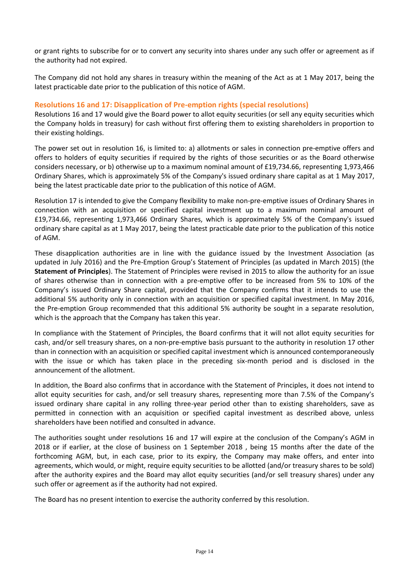or grant rights to subscribe for or to convert any security into shares under any such offer or agreement as if the authority had not expired.

The Company did not hold any shares in treasury within the meaning of the Act as at 1 May 2017, being the latest practicable date prior to the publication of this notice of AGM.

# **Resolutions 16 and 17: Disapplication of Pre-emption rights (special resolutions)**

Resolutions 16 and 17 would give the Board power to allot equity securities (or sell any equity securities which the Company holds in treasury) for cash without first offering them to existing shareholders in proportion to their existing holdings.

The power set out in resolution 16, is limited to: a) allotments or sales in connection pre-emptive offers and offers to holders of equity securities if required by the rights of those securities or as the Board otherwise considers necessary, or b) otherwise up to a maximum nominal amount of £19,734.66, representing 1,973,466 Ordinary Shares, which is approximately 5% of the Company's issued ordinary share capital as at 1 May 2017, being the latest practicable date prior to the publication of this notice of AGM.

Resolution 17 is intended to give the Company flexibility to make non-pre-emptive issues of Ordinary Shares in connection with an acquisition or specified capital investment up to a maximum nominal amount of £19,734.66, representing 1,973,466 Ordinary Shares, which is approximately 5% of the Company's issued ordinary share capital as at 1 May 2017, being the latest practicable date prior to the publication of this notice of AGM.

These disapplication authorities are in line with the guidance issued by the Investment Association (as updated in July 2016) and the Pre-Emption Group's Statement of Principles (as updated in March 2015) (the **Statement of Principles**). The Statement of Principles were revised in 2015 to allow the authority for an issue of shares otherwise than in connection with a pre-emptive offer to be increased from 5% to 10% of the Company's issued Ordinary Share capital, provided that the Company confirms that it intends to use the additional 5% authority only in connection with an acquisition or specified capital investment. In May 2016, the Pre-emption Group recommended that this additional 5% authority be sought in a separate resolution, which is the approach that the Company has taken this year.

In compliance with the Statement of Principles, the Board confirms that it will not allot equity securities for cash, and/or sell treasury shares, on a non-pre-emptive basis pursuant to the authority in resolution 17 other than in connection with an acquisition or specified capital investment which is announced contemporaneously with the issue or which has taken place in the preceding six-month period and is disclosed in the announcement of the allotment.

In addition, the Board also confirms that in accordance with the Statement of Principles, it does not intend to allot equity securities for cash, and/or sell treasury shares, representing more than 7.5% of the Company's issued ordinary share capital in any rolling three-year period other than to existing shareholders, save as permitted in connection with an acquisition or specified capital investment as described above, unless shareholders have been notified and consulted in advance.

The authorities sought under resolutions 16 and 17 will expire at the conclusion of the Company's AGM in 2018 or if earlier, at the close of business on 1 September 2018 , being 15 months after the date of the forthcoming AGM, but, in each case, prior to its expiry, the Company may make offers, and enter into agreements, which would, or might, require equity securities to be allotted (and/or treasury shares to be sold) after the authority expires and the Board may allot equity securities (and/or sell treasury shares) under any such offer or agreement as if the authority had not expired.

The Board has no present intention to exercise the authority conferred by this resolution.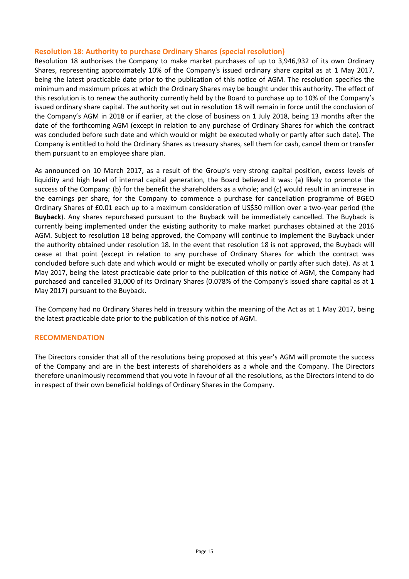# **Resolution 18: Authority to purchase Ordinary Shares (special resolution)**

Resolution 18 authorises the Company to make market purchases of up to 3,946,932 of its own Ordinary Shares, representing approximately 10% of the Company's issued ordinary share capital as at 1 May 2017, being the latest practicable date prior to the publication of this notice of AGM. The resolution specifies the minimum and maximum prices at which the Ordinary Shares may be bought under this authority. The effect of this resolution is to renew the authority currently held by the Board to purchase up to 10% of the Company's issued ordinary share capital. The authority set out in resolution 18 will remain in force until the conclusion of the Company's AGM in 2018 or if earlier, at the close of business on 1 July 2018, being 13 months after the date of the forthcoming AGM (except in relation to any purchase of Ordinary Shares for which the contract was concluded before such date and which would or might be executed wholly or partly after such date). The Company is entitled to hold the Ordinary Shares as treasury shares, sell them for cash, cancel them or transfer them pursuant to an employee share plan.

As announced on 10 March 2017, as a result of the Group's very strong capital position, excess levels of liquidity and high level of internal capital generation, the Board believed it was: (a) likely to promote the success of the Company: (b) for the benefit the shareholders as a whole; and (c) would result in an increase in the earnings per share, for the Company to commence a purchase for cancellation programme of BGEO Ordinary Shares of £0.01 each up to a maximum consideration of US\$50 million over a two-year period (the **Buyback**). Any shares repurchased pursuant to the Buyback will be immediately cancelled. The Buyback is currently being implemented under the existing authority to make market purchases obtained at the 2016 AGM. Subject to resolution 18 being approved, the Company will continue to implement the Buyback under the authority obtained under resolution 18. In the event that resolution 18 is not approved, the Buyback will cease at that point (except in relation to any purchase of Ordinary Shares for which the contract was concluded before such date and which would or might be executed wholly or partly after such date). As at 1 May 2017, being the latest practicable date prior to the publication of this notice of AGM, the Company had purchased and cancelled 31,000 of its Ordinary Shares (0.078% of the Company's issued share capital as at 1 May 2017) pursuant to the Buyback.

The Company had no Ordinary Shares held in treasury within the meaning of the Act as at 1 May 2017, being the latest practicable date prior to the publication of this notice of AGM.

## **RECOMMENDATION**

The Directors consider that all of the resolutions being proposed at this year's AGM will promote the success of the Company and are in the best interests of shareholders as a whole and the Company. The Directors therefore unanimously recommend that you vote in favour of all the resolutions, as the Directors intend to do in respect of their own beneficial holdings of Ordinary Shares in the Company.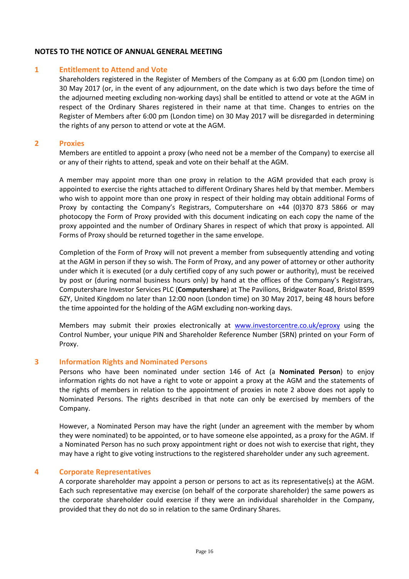# **NOTES TO THE NOTICE OF ANNUAL GENERAL MEETING**

#### **1 Entitlement to Attend and Vote**

Shareholders registered in the Register of Members of the Company as at 6:00 pm (London time) on 30 May 2017 (or, in the event of any adjournment, on the date which is two days before the time of the adjourned meeting excluding non-working days) shall be entitled to attend or vote at the AGM in respect of the Ordinary Shares registered in their name at that time. Changes to entries on the Register of Members after 6:00 pm (London time) on 30 May 2017 will be disregarded in determining the rights of any person to attend or vote at the AGM.

#### **2 Proxies**

Members are entitled to appoint a proxy (who need not be a member of the Company) to exercise all or any of their rights to attend, speak and vote on their behalf at the AGM.

A member may appoint more than one proxy in relation to the AGM provided that each proxy is appointed to exercise the rights attached to different Ordinary Shares held by that member. Members who wish to appoint more than one proxy in respect of their holding may obtain additional Forms of Proxy by contacting the Company's Registrars, Computershare on +44 (0)370 873 5866 or may photocopy the Form of Proxy provided with this document indicating on each copy the name of the proxy appointed and the number of Ordinary Shares in respect of which that proxy is appointed. All Forms of Proxy should be returned together in the same envelope.

Completion of the Form of Proxy will not prevent a member from subsequently attending and voting at the AGM in person if they so wish. The Form of Proxy, and any power of attorney or other authority under which it is executed (or a duly certified copy of any such power or authority), must be received by post or (during normal business hours only) by hand at the offices of the Company's Registrars, Computershare Investor Services PLC (**Computershare**) at The Pavilions, Bridgwater Road, Bristol BS99 6ZY, United Kingdom no later than 12:00 noon (London time) on 30 May 2017, being 48 hours before the time appointed for the holding of the AGM excluding non-working days.

Members may submit their proxies electronically at [www.investorcentre.co.uk/eproxy](http://www.investorcentre.co.uk/eproxy) using the Control Number, your unique PIN and Shareholder Reference Number (SRN) printed on your Form of Proxy.

#### **3 Information Rights and Nominated Persons**

Persons who have been nominated under section 146 of Act (a **Nominated Person**) to enjoy information rights do not have a right to vote or appoint a proxy at the AGM and the statements of the rights of members in relation to the appointment of proxies in note 2 above does not apply to Nominated Persons. The rights described in that note can only be exercised by members of the Company.

However, a Nominated Person may have the right (under an agreement with the member by whom they were nominated) to be appointed, or to have someone else appointed, as a proxy for the AGM. If a Nominated Person has no such proxy appointment right or does not wish to exercise that right, they may have a right to give voting instructions to the registered shareholder under any such agreement.

#### **4 Corporate Representatives**

A corporate shareholder may appoint a person or persons to act as its representative(s) at the AGM. Each such representative may exercise (on behalf of the corporate shareholder) the same powers as the corporate shareholder could exercise if they were an individual shareholder in the Company, provided that they do not do so in relation to the same Ordinary Shares.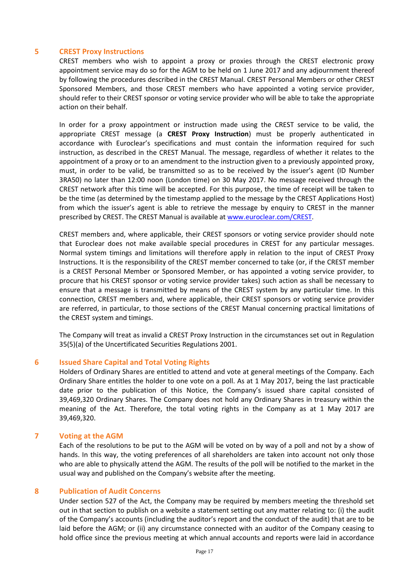## **5 CREST Proxy Instructions**

CREST members who wish to appoint a proxy or proxies through the CREST electronic proxy appointment service may do so for the AGM to be held on 1 June 2017 and any adjournment thereof by following the procedures described in the CREST Manual. CREST Personal Members or other CREST Sponsored Members, and those CREST members who have appointed a voting service provider, should refer to their CREST sponsor or voting service provider who will be able to take the appropriate action on their behalf.

In order for a proxy appointment or instruction made using the CREST service to be valid, the appropriate CREST message (a **CREST Proxy Instruction**) must be properly authenticated in accordance with Euroclear's specifications and must contain the information required for such instruction, as described in the CREST Manual. The message, regardless of whether it relates to the appointment of a proxy or to an amendment to the instruction given to a previously appointed proxy, must, in order to be valid, be transmitted so as to be received by the issuer's agent (ID Number 3RA50) no later than 12:00 noon (London time) on 30 May 2017. No message received through the CREST network after this time will be accepted. For this purpose, the time of receipt will be taken to be the time (as determined by the timestamp applied to the message by the CREST Applications Host) from which the issuer's agent is able to retrieve the message by enquiry to CREST in the manner prescribed by CREST. The CREST Manual is available at [www.euroclear.com/CREST.](http://www.euroclear.com/CREST)

CREST members and, where applicable, their CREST sponsors or voting service provider should note that Euroclear does not make available special procedures in CREST for any particular messages. Normal system timings and limitations will therefore apply in relation to the input of CREST Proxy Instructions. It is the responsibility of the CREST member concerned to take (or, if the CREST member is a CREST Personal Member or Sponsored Member, or has appointed a voting service provider, to procure that his CREST sponsor or voting service provider takes) such action as shall be necessary to ensure that a message is transmitted by means of the CREST system by any particular time. In this connection, CREST members and, where applicable, their CREST sponsors or voting service provider are referred, in particular, to those sections of the CREST Manual concerning practical limitations of the CREST system and timings.

The Company will treat as invalid a CREST Proxy Instruction in the circumstances set out in Regulation 35(5)(a) of the Uncertificated Securities Regulations 2001.

#### **6 Issued Share Capital and Total Voting Rights**

Holders of Ordinary Shares are entitled to attend and vote at general meetings of the Company. Each Ordinary Share entitles the holder to one vote on a poll. As at 1 May 2017, being the last practicable date prior to the publication of this Notice, the Company's issued share capital consisted of 39,469,320 Ordinary Shares. The Company does not hold any Ordinary Shares in treasury within the meaning of the Act. Therefore, the total voting rights in the Company as at 1 May 2017 are 39,469,320.

## **7 Voting at the AGM**

Each of the resolutions to be put to the AGM will be voted on by way of a poll and not by a show of hands. In this way, the voting preferences of all shareholders are taken into account not only those who are able to physically attend the AGM. The results of the poll will be notified to the market in the usual way and published on the Company's website after the meeting.

#### **8 Publication of Audit Concerns**

Under section 527 of the Act, the Company may be required by members meeting the threshold set out in that section to publish on a website a statement setting out any matter relating to: (i) the audit of the Company's accounts (including the auditor's report and the conduct of the audit) that are to be laid before the AGM; or (ii) any circumstance connected with an auditor of the Company ceasing to hold office since the previous meeting at which annual accounts and reports were laid in accordance